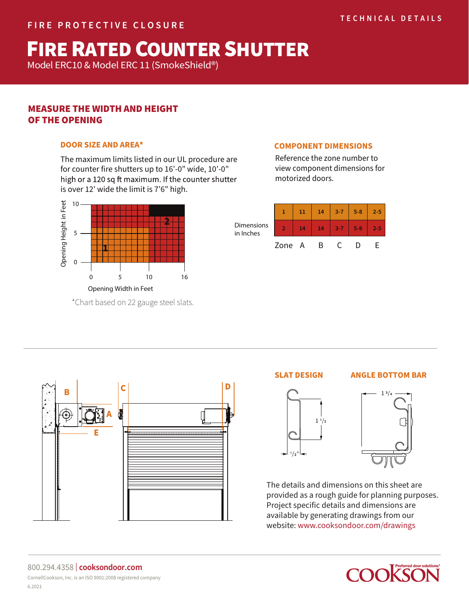# **FIRE RATED COUNTER SHUTTER**

Model ERC10 & Model ERC 11 (SmokeShield®) Model ERC10 & Model ERC 11 (SmokeShield®)

# MEASURE THE WIDTH AND HEIGHT OF THE OPENING

# **DOOR SIZE AND AREA\***

The maximum limits listed in our UL procedure are for counter fire shutters up to 16'-0" wide, 10'-0" is over 12' wide the limit is 7'6" high.



\*Chart based on 22 gauge steel slats.

**<sup>B</sup> <sup>C</sup> <sup>D</sup>**

0

# **COMPONENT DIMENSIONS**

Reference the zone number to view component dimensions for motorized doors.

| Dimensions<br>in Inches |        | 11 | 14 | $3 - 7$    | $5 - 8$ | $2 - 5$ |
|-------------------------|--------|----|----|------------|---------|---------|
|                         |        | 14 | 14 | $-3-7$     | $5 - 8$ | $2 - 5$ |
|                         | Zone A |    | R. | $\epsilon$ |         |         |

#### **SLAT DESIGN ANGLE BOTTOM BAR**





The details and dimensions on this sheet are provided as a rough guide for planning purposes. Project specific details and dimensions are available by generating drawings from our website: www.cooksondoor.com/drawings



# **E**

**A**

#### 800.294.4358 | **cooksondoor.com** CornellCookson, Inc. is an ISO 9001:2008 registered company 6.2021